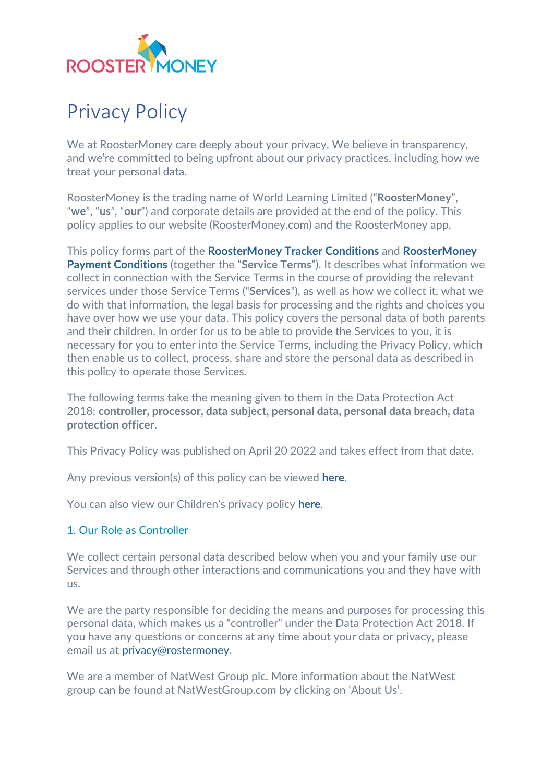

# Privacy Policy

We at RoosterMoney care deeply about your privacy. We believe in transparency, and we're committed to being upfront about our privacy practices, including how we treat your personal data.

RoosterMoney is the trading name of World Learning Limited ("**RoosterMoney**", "**we**", "**us**", "**our**") and corporate details are provided at the end of the policy. This policy applies to our website (RoosterMoney.com) and the RoosterMoney app.

This policy forms part of the **[RoosterMoney Tracker Conditions](https://www.roostermoney.com/terms/)** and **[RoosterMoney](https://www.roostermoney.com/payment-terms-and-conditions/)  [Payment Conditions](https://www.roostermoney.com/payment-terms-and-conditions/)** (together the "**Service Terms**"). It describes what information we collect in connection with the Service Terms in the course of providing the relevant services under those Service Terms ("**Services**"), as well as how we collect it, what we do with that information, the legal basis for processing and the rights and choices you have over how we use your data. This policy covers the personal data of both parents and their children. In order for us to be able to provide the Services to you, it is necessary for you to enter into the Service Terms, including the Privacy Policy, which then enable us to collect, process, share and store the personal data as described in this policy to operate those Services.

The following terms take the meaning given to them in the Data Protection Act 2018: **controller, processor, data subject, personal data, personal data breach, data protection officer.**

This Privacy Policy was published on April 20 2022 and takes effect from that date.

Any previous version(s) of this policy can be viewed **[here](https://roostermoney.com/wp-content/uploads/2022/04/RM-Privacy-Policy-Archived-November-2019.pdf)**.

You can also view our Children's privacy policy **[here](https://roostermoney.com/gb/feature/roostermoney-childrens-privacy-policy/)**.

#### [1. Our Role as Controller](https://roostermoney.com/gb/privacy/#1-our-role-as-controller)

We collect certain personal data described below when you and your family use our Services and through other interactions and communications you and they have with us.

We are the party responsible for deciding the means and purposes for processing this personal data, which makes us a "controller" under the Data Protection Act 2018. If you have any questions or concerns at any time about your data or privacy, please email us at [privacy@rostermoney.](http://privacy@rostermoney/)

We are a member of NatWest Group plc. More information about the NatWest group can be found at NatWestGroup.com by clicking on 'About Us'.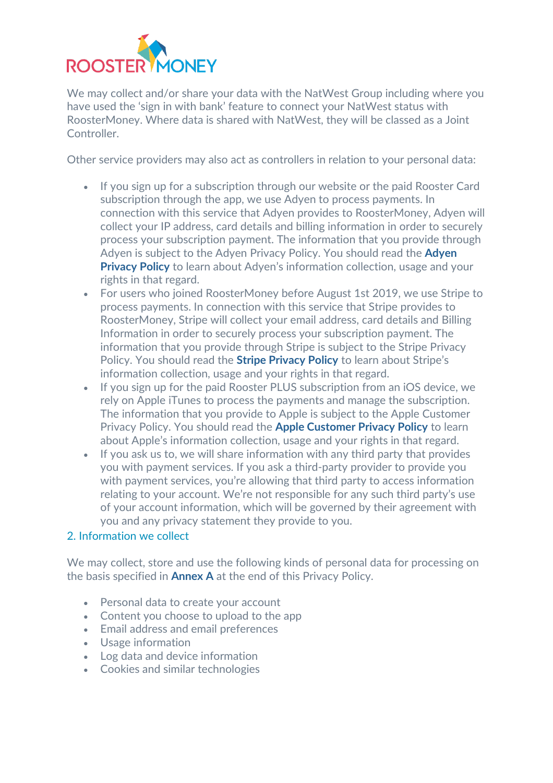

We may collect and/or share your data with the NatWest Group including where you have used the 'sign in with bank' feature to connect your NatWest status with RoosterMoney. Where data is shared with NatWest, they will be classed as a Joint Controller.

Other service providers may also act as controllers in relation to your personal data:

- If you sign up for a subscription through our website or the paid Rooster Card subscription through the app, we use Adyen to process payments. In connection with this service that Adyen provides to RoosterMoney, Adyen will collect your IP address, card details and billing information in order to securely process your subscription payment. The information that you provide through Adyen is subject to the Adyen Privacy Policy. You should read the **[Adyen](https://www.adyen.com/policies-and-disclaimer/privacy-policy)  [Privacy Policy](https://www.adyen.com/policies-and-disclaimer/privacy-policy)** to learn about Adyen's information collection, usage and your rights in that regard.
- For users who joined RoosterMoney before August 1st 2019, we use Stripe to process payments. In connection with this service that Stripe provides to RoosterMoney, Stripe will collect your email address, card details and Billing Information in order to securely process your subscription payment. The information that you provide through Stripe is subject to the Stripe Privacy Policy. You should read the **[Stripe Privacy Policy](https://stripe.com/privacy)** to learn about Stripe's information collection, usage and your rights in that regard.
- If you sign up for the paid Rooster PLUS subscription from an iOS device, we rely on Apple iTunes to process the payments and manage the subscription. The information that you provide to Apple is subject to the Apple Customer Privacy Policy. You should read the **[Apple Customer Privacy Policy](https://www.apple.com/uk/legal/privacy/en-ww/)** to learn about Apple's information collection, usage and your rights in that regard.
- If you ask us to, we will share information with any third party that provides you with payment services. If you ask a third-party provider to provide you with payment services, you're allowing that third party to access information relating to your account. We're not responsible for any such third party's use of your account information, which will be governed by their agreement with you and any privacy statement they provide to you.

# [2. Information we collect](https://roostermoney.com/gb/privacy/#2-information-we-collect)

We may collect, store and use the following kinds of personal data for processing on the basis specified in **[Annex A](https://roostermoney.com/privacy/#14-annex-a)** at the end of this Privacy Policy.

- Personal data to create your account
- Content you choose to upload to the app
- Email address and email preferences
- Usage information
- Log data and device information
- Cookies and similar technologies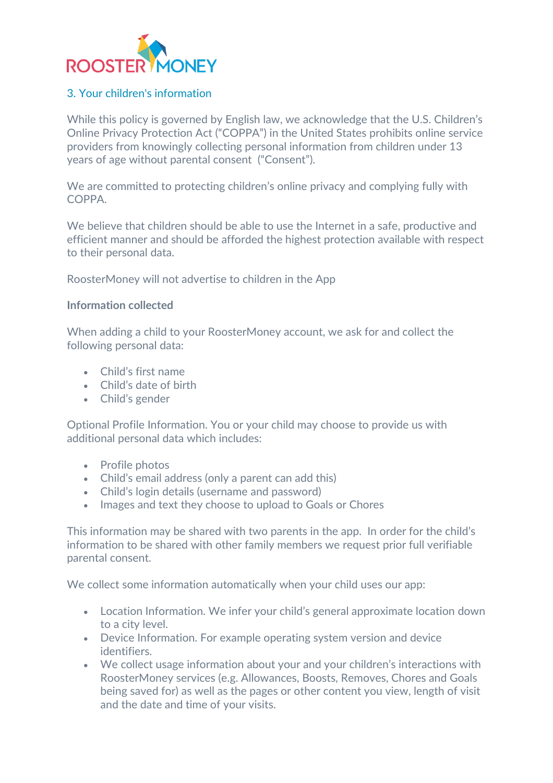

#### [3. Your children's information](https://roostermoney.com/gb/privacy/#3-your-childrens-information)

While this policy is governed by English law, we acknowledge that the U.S. Children's Online Privacy Protection Act ("COPPA") in the United States prohibits online service providers from knowingly collecting personal information from children under 13 years of age without parental consent ("Consent").

We are committed to protecting children's online privacy and complying fully with COPPA.

We believe that children should be able to use the Internet in a safe, productive and efficient manner and should be afforded the highest protection available with respect to their personal data.

RoosterMoney will not advertise to children in the App

#### **Information collected**

When adding a child to your RoosterMoney account, we ask for and collect the following personal data:

- Child's first name
- Child's date of birth
- Child's gender

Optional Profile Information. You or your child may choose to provide us with additional personal data which includes:

- Profile photos
- Child's email address (only a parent can add this)
- Child's login details (username and password)
- Images and text they choose to upload to Goals or Chores

This information may be shared with two parents in the app. In order for the child's information to be shared with other family members we request prior full verifiable parental consent.

We collect some information automatically when your child uses our app:

- Location Information. We infer your child's general approximate location down to a city level.
- Device Information. For example operating system version and device identifiers.
- We collect usage information about your and your children's interactions with RoosterMoney services (e.g. Allowances, Boosts, Removes, Chores and Goals being saved for) as well as the pages or other content you view, length of visit and the date and time of your visits.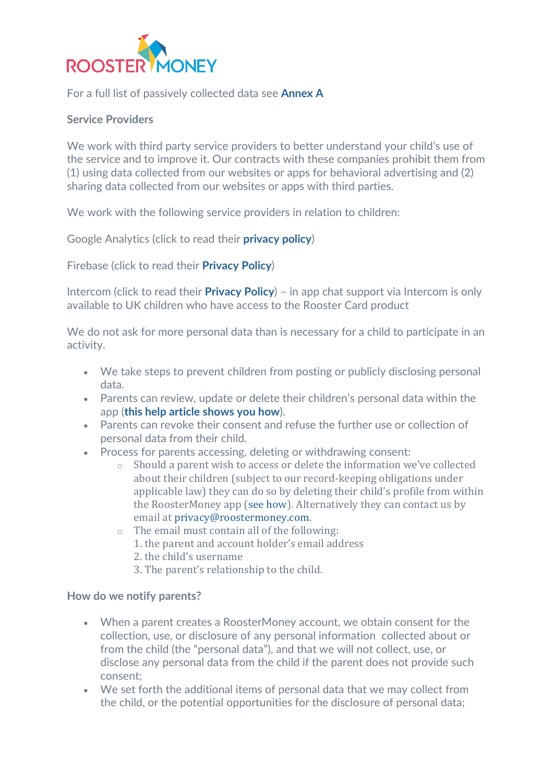

For a full list of passively collected data see **[Annex A](https://roostermoney.com/privacy/#14-annex-a)**

#### **Service Providers**

We work with third party service providers to better understand your child's use of the service and to improve it. Our contracts with these companies prohibit them from (1) using data collected from our websites or apps for behavioral advertising and (2) sharing data collected from our websites or apps with third parties.

We work with the following service providers in relation to children:

Google Analytics (click to read their **[privacy policy](https://www.google.com/intl/en/policies/privacy/)**)

Firebase (click to read their **[Privacy Policy](https://firebase.google.com/support/privacy)**)

Intercom (click to read their **[Privacy Policy](https://www.intercom.com/terms-and-policies#privacy)**) – in app chat support via Intercom is only available to UK children who have access to the Rooster Card product

We do not ask for more personal data than is necessary for a child to participate in an activity.

- We take steps to prevent children from posting or publicly disclosing personal data.
- Parents can review, update or delete their children's personal data within the app (**[this help article shows you how](https://intercom.help/roostermoney/en/articles/2943116-making-changes-to-your-child-s-details)**).
- Parents can revoke their consent and refuse the further use or collection of personal data from their child.
- Process for parents accessing, deleting or withdrawing consent:
	- o Should a parent wish to access or delete the information we've collected about their children (subject to our record-keeping obligations under applicable law) they can do so by deleting their child's profile from within the RoosterMoney app [\(see how\)](https://support.roostermoney.com/en/articles/2943387-how-do-i-make-changes-to-my-child-s-information). Alternatively they can contact us by email at [privacy@roostermoney.com.](mailto:privacy@roostermoney.com)
	- o The email must contain all of the following:
		- 1. the parent and account holder's email address
		- 2. the child's username
		- 3. The parent's relationship to the child.

#### **How do we notify parents?**

- When a parent creates a RoosterMoney account, we obtain consent for the collection, use, or disclosure of any personal information collected about or from the child (the "personal data"), and that we will not collect, use, or disclose any personal data from the child if the parent does not provide such consent;
- We set forth the additional items of personal data that we may collect from the child, or the potential opportunities for the disclosure of personal data;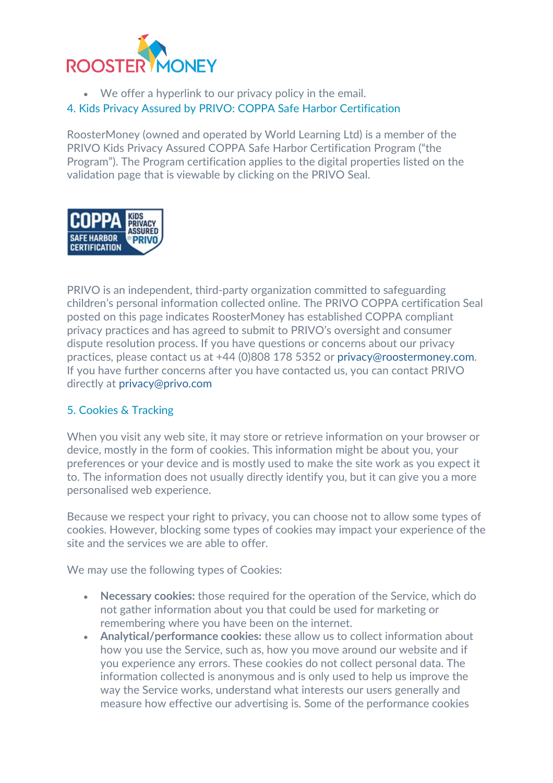

• We offer a hyperlink to our privacy policy in the email.

# [4. Kids Privacy Assured by PRIVO: COPPA Safe Harbor Certification](https://roostermoney.com/gb/privacy/#4-kids-privacy-assured-by-privo-coppa-safe-harbor-certification)

RoosterMoney (owned and operated by World Learning Ltd) is a member of the PRIVO Kids Privacy Assured COPPA Safe Harbor Certification Program ("the Program"). The Program certification applies to the digital properties listed on the validation page that is viewable by clicking on the PRIVO Seal.



PRIVO is an independent, third-party organization committed to safeguarding children's personal information collected online. The PRIVO COPPA certification Seal posted on this page indicates RoosterMoney has established COPPA compliant privacy practices and has agreed to submit to PRIVO's oversight and consumer dispute resolution process. If you have questions or concerns about our privacy practices, please contact us at +44 (0)808 178 5352 or [privacy@roostermoney.com.](mailto:privacy@roostermoney.com) If you have further concerns after you have contacted us, you can contact PRIVO directly at [privacy@privo.com](mailto:privacy@privo.com)

# [5. Cookies & Tracking](https://roostermoney.com/gb/privacy/#5-cookies-tracking)

When you visit any web site, it may store or retrieve information on your browser or device, mostly in the form of cookies. This information might be about you, your preferences or your device and is mostly used to make the site work as you expect it to. The information does not usually directly identify you, but it can give you a more personalised web experience.

Because we respect your right to privacy, you can choose not to allow some types of cookies. However, blocking some types of cookies may impact your experience of the site and the services we are able to offer.

We may use the following types of Cookies:

- **Necessary cookies:** those required for the operation of the Service, which do not gather information about you that could be used for marketing or remembering where you have been on the internet.
- **Analytical/performance cookies:** these allow us to collect information about how you use the Service, such as, how you move around our website and if you experience any errors. These cookies do not collect personal data. The information collected is anonymous and is only used to help us improve the way the Service works, understand what interests our users generally and measure how effective our advertising is. Some of the performance cookies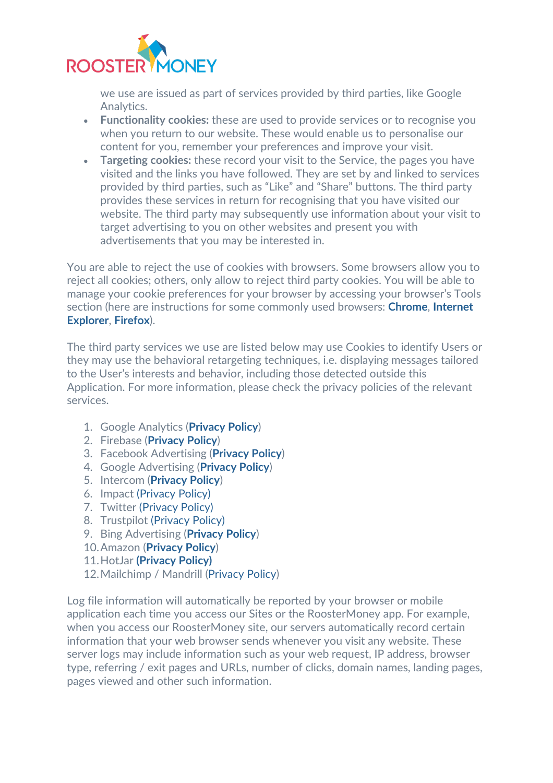

we use are issued as part of services provided by third parties, like Google Analytics.

- **Functionality cookies:** these are used to provide services or to recognise you when you return to our website. These would enable us to personalise our content for you, remember your preferences and improve your visit.
- **Targeting cookies:** these record your visit to the Service, the pages you have visited and the links you have followed. They are set by and linked to services provided by third parties, such as "Like" and "Share" buttons. The third party provides these services in return for recognising that you have visited our website. The third party may subsequently use information about your visit to target advertising to you on other websites and present you with advertisements that you may be interested in.

You are able to reject the use of cookies with browsers. Some browsers allow you to reject all cookies; others, only allow to reject third party cookies. You will be able to manage your cookie preferences for your browser by accessing your browser's Tools section (here are instructions for some commonly used browsers: **[Chrome](https://support.google.com/chrome/answer/95647?co=GENIE.Platform%3DDesktop&hl=en)**, **[Internet](https://support.microsoft.com/en-gb/help/17442/windows-internet-explorer-delete-manage-cookies)  [Explorer](https://support.microsoft.com/en-gb/help/17442/windows-internet-explorer-delete-manage-cookies)**, **[Firefox](https://support.mozilla.org/en-US/kb/enable-and-disable-cookies-website-preferences)**).

The third party services we use are listed below may use Cookies to identify Users or they may use the behavioral retargeting techniques, i.e. displaying messages tailored to the User's interests and behavior, including those detected outside this Application. For more information, please check the privacy policies of the relevant services.

- 1. Google Analytics (**[Privacy Policy](https://www.google.com/policies/privacy/)**)
- 2. Firebase (**[Privacy Policy](https://firebase.google.com/support/privacy)**)
- 3. Facebook Advertising (**[Privacy Policy](https://www.facebook.com/about/privacy/update)**)
- 4. Google Advertising (**[Privacy Policy](https://www.google.com/policies/technologies/ads/)**)
- 5. Intercom (**[Privacy Policy](https://www.intercom.com/terms-and-policies#privacy)**)
- 6. Impact [\(Privacy Policy\)](https://impact.com/privacy-policy/)
- 7. Twitter [\(Privacy Policy\)](https://twitter.com/en/privacy)
- 8. Trustpilot [\(Privacy Policy\)](https://legal.trustpilot.com/for-reviewers/end-user-privacy-terms)
- 9. Bing Advertising (**[Privacy Policy](https://about.ads.microsoft.com/en-gb/resources/policies/user-safety-and-privacy-policies)**)
- 10.Amazon (**[Privacy Policy](https://www.amazon.co.uk/gp/help/customer/display.html/ref=gss?nodeId=502584)**)
- 11.HotJar **[\(Privacy Policy\)](https://www.hotjar.com/legal/policies/privacy/)**
- 12.Mailchimp / Mandrill [\(Privacy Policy\)](https://www.intuit.com/privacy/statement/)

Log file information will automatically be reported by your browser or mobile application each time you access our Sites or the RoosterMoney app. For example, when you access our RoosterMoney site, our servers automatically record certain information that your web browser sends whenever you visit any website. These server logs may include information such as your web request, IP address, browser type, referring / exit pages and URLs, number of clicks, domain names, landing pages, pages viewed and other such information.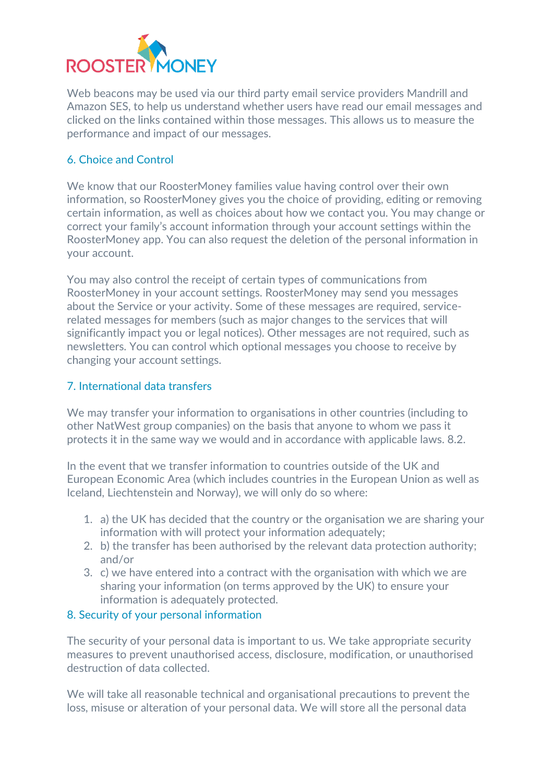

Web beacons may be used via our third party email service providers Mandrill and Amazon SES, to help us understand whether users have read our email messages and clicked on the links contained within those messages. This allows us to measure the performance and impact of our messages.

# [6. Choice and Control](https://roostermoney.com/gb/privacy/#6-choice-and-control)

We know that our RoosterMoney families value having control over their own information, so RoosterMoney gives you the choice of providing, editing or removing certain information, as well as choices about how we contact you. You may change or correct your family's account information through your account settings within the RoosterMoney app. You can also request the deletion of the personal information in your account.

You may also control the receipt of certain types of communications from RoosterMoney in your account settings. RoosterMoney may send you messages about the Service or your activity. Some of these messages are required, servicerelated messages for members (such as major changes to the services that will significantly impact you or legal notices). Other messages are not required, such as newsletters. You can control which optional messages you choose to receive by changing your account settings.

# [7. International data transfers](https://roostermoney.com/gb/privacy/#7-international-data-transfers)

We may transfer your information to organisations in other countries (including to other NatWest group companies) on the basis that anyone to whom we pass it protects it in the same way we would and in accordance with applicable laws. 8.2.

In the event that we transfer information to countries outside of the UK and European Economic Area (which includes countries in the European Union as well as Iceland, Liechtenstein and Norway), we will only do so where:

- 1. a) the UK has decided that the country or the organisation we are sharing your information with will protect your information adequately;
- 2. b) the transfer has been authorised by the relevant data protection authority; and/or
- 3. c) we have entered into a contract with the organisation with which we are sharing your information (on terms approved by the UK) to ensure your information is adequately protected.

# [8. Security of your personal information](https://roostermoney.com/gb/privacy/#8-security-of-your-personal-information)

The security of your personal data is important to us. We take appropriate security measures to prevent unauthorised access, disclosure, modification, or unauthorised destruction of data collected.

We will take all reasonable technical and organisational precautions to prevent the loss, misuse or alteration of your personal data. We will store all the personal data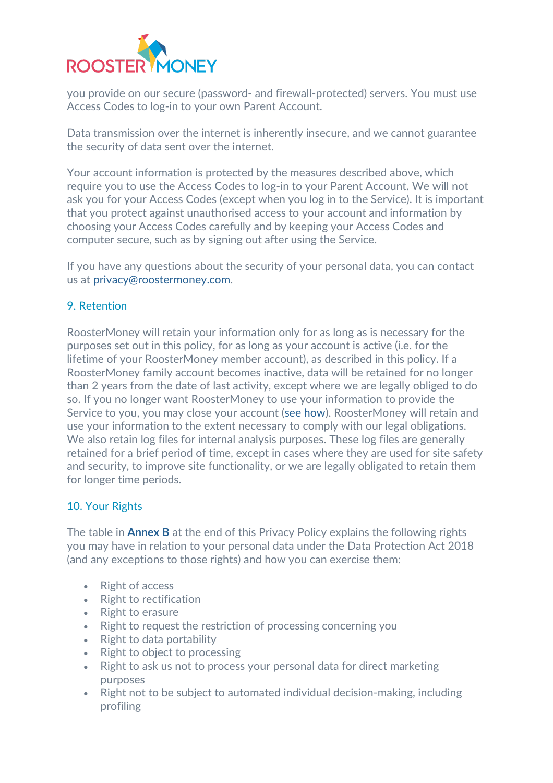

you provide on our secure (password- and firewall-protected) servers. You must use Access Codes to log-in to your own Parent Account.

Data transmission over the internet is inherently insecure, and we cannot guarantee the security of data sent over the internet.

Your account information is protected by the measures described above, which require you to use the Access Codes to log-in to your Parent Account. We will not ask you for your Access Codes (except when you log in to the Service). It is important that you protect against unauthorised access to your account and information by choosing your Access Codes carefully and by keeping your Access Codes and computer secure, such as by signing out after using the Service.

If you have any questions about the security of your personal data, you can contact us at [privacy@roostermoney.com.](mailto:privacy@roostermoney.com)

#### [9. Retention](https://roostermoney.com/gb/privacy/#9-retention)

RoosterMoney will retain your information only for as long as is necessary for the purposes set out in this policy, for as long as your account is active (i.e. for the lifetime of your RoosterMoney member account), as described in this policy. If a RoosterMoney family account becomes inactive, data will be retained for no longer than 2 years from the date of last activity, except where we are legally obliged to do so. If you no longer want RoosterMoney to use your information to provide the Service to you, you may close your account [\(see how\)](https://intercom.help/roostermoney/en/articles/2943398-deleting-your-roostermoney-account). RoosterMoney will retain and use your information to the extent necessary to comply with our legal obligations. We also retain log files for internal analysis purposes. These log files are generally retained for a brief period of time, except in cases where they are used for site safety and security, to improve site functionality, or we are legally obligated to retain them for longer time periods.

#### [10. Your Rights](https://roostermoney.com/gb/privacy/#10-your-rights)

The table in **[Annex B](https://roostermoney.com/privacy/#15-annex-b)** at the end of this Privacy Policy explains the following rights you may have in relation to your personal data under the Data Protection Act 2018 (and any exceptions to those rights) and how you can exercise them:

- Right of access
- Right to rectification
- Right to erasure
- Right to request the restriction of processing concerning you
- Right to data portability
- Right to object to processing
- Right to ask us not to process your personal data for direct marketing purposes
- Right not to be subject to automated individual decision-making, including profiling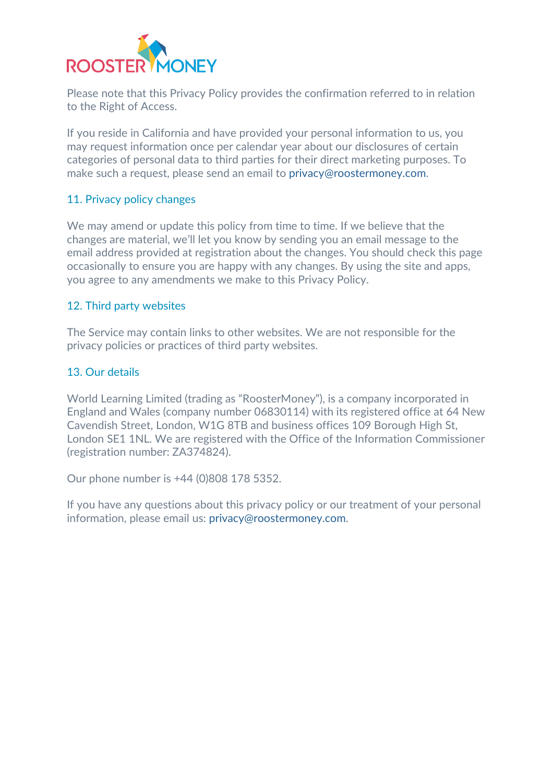

Please note that this Privacy Policy provides the confirmation referred to in relation to the Right of Access.

If you reside in California and have provided your personal information to us, you may request information once per calendar year about our disclosures of certain categories of personal data to third parties for their direct marketing purposes. To make such a request, please send an email to [privacy@roostermoney.com.](mailto:privacy@roostermoney.com)

#### [11. Privacy policy changes](https://roostermoney.com/gb/privacy/#11-privacy-policy-changes)

We may amend or update this policy from time to time. If we believe that the changes are material, we'll let you know by sending you an email message to the email address provided at registration about the changes. You should check this page occasionally to ensure you are happy with any changes. By using the site and apps, you agree to any amendments we make to this Privacy Policy.

#### [12. Third party websites](https://roostermoney.com/gb/privacy/#12-third-party-websites)

The Service may contain links to other websites. We are not responsible for the privacy policies or practices of third party websites.

#### [13. Our details](https://roostermoney.com/gb/privacy/#13-our-details)

World Learning Limited (trading as "RoosterMoney"), is a company incorporated in England and Wales (company number 06830114) with its registered office at 64 New Cavendish Street, London, W1G 8TB and business offices 109 Borough High St, London SE1 1NL. We are registered with the Office of the Information Commissioner (registration number: ZA374824).

Our phone number is +44 (0)808 178 5352.

If you have any questions about this privacy policy or our treatment of your personal information, please email us: [privacy@roostermoney.com.](mailto:privacy@roostermoney.com)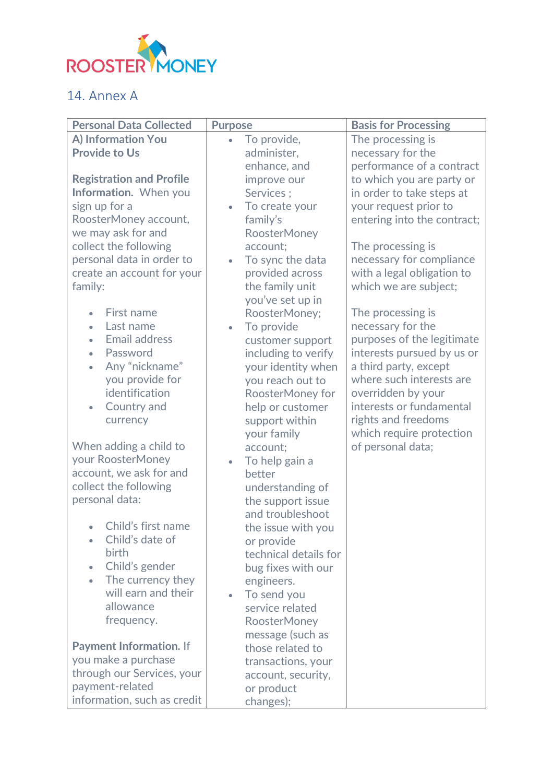

# 14. Annex A

| <b>Personal Data Collected</b>    | <b>Purpose</b>                       | <b>Basis for Processing</b>                       |
|-----------------------------------|--------------------------------------|---------------------------------------------------|
| A) Information You                | To provide,<br>$\bullet$             | The processing is                                 |
| <b>Provide to Us</b>              | administer,                          | necessary for the                                 |
|                                   | enhance, and                         | performance of a contract                         |
| <b>Registration and Profile</b>   | improve our                          | to which you are party or                         |
| Information. When you             | Services;                            | in order to take steps at                         |
| sign up for a                     | To create your                       | your request prior to                             |
| RoosterMoney account,             | family's                             | entering into the contract;                       |
| we may ask for and                | <b>RoosterMoney</b>                  |                                                   |
| collect the following             | account;                             | The processing is                                 |
| personal data in order to         | To sync the data<br>$\bullet$        | necessary for compliance                          |
| create an account for your        | provided across                      | with a legal obligation to                        |
| family:                           | the family unit                      | which we are subject;                             |
|                                   | you've set up in                     |                                                   |
| First name                        | RoosterMoney;                        | The processing is                                 |
| Last name<br>$\bullet$            | To provide<br>$\bullet$              | necessary for the                                 |
| <b>Email address</b>              | customer support                     | purposes of the legitimate                        |
| Password<br>$\bullet$             | including to verify                  | interests pursued by us or                        |
| Any "nickname"<br>you provide for | your identity when                   | a third party, except<br>where such interests are |
| identification                    | you reach out to<br>RoosterMoney for | overridden by your                                |
| Country and                       | help or customer                     | interests or fundamental                          |
| currency                          | support within                       | rights and freedoms                               |
|                                   | your family                          | which require protection                          |
| When adding a child to            | account;                             | of personal data;                                 |
| your RoosterMoney                 | To help gain a<br>$\bullet$          |                                                   |
| account, we ask for and           | better                               |                                                   |
| collect the following             | understanding of                     |                                                   |
| personal data:                    | the support issue                    |                                                   |
|                                   | and troubleshoot                     |                                                   |
| Child's first name                | the issue with you                   |                                                   |
| Child's date of                   | or provide                           |                                                   |
| birth                             | technical details for                |                                                   |
| Child's gender                    | bug fixes with our                   |                                                   |
| The currency they                 | engineers.                           |                                                   |
| will earn and their               | To send you<br>$\bullet$             |                                                   |
| allowance                         | service related                      |                                                   |
| frequency.                        | RoosterMoney                         |                                                   |
|                                   | message (such as                     |                                                   |
| <b>Payment Information. If</b>    | those related to                     |                                                   |
| you make a purchase               | transactions, your                   |                                                   |
| through our Services, your        | account, security,                   |                                                   |
| payment-related                   | or product                           |                                                   |
| information, such as credit       | changes);                            |                                                   |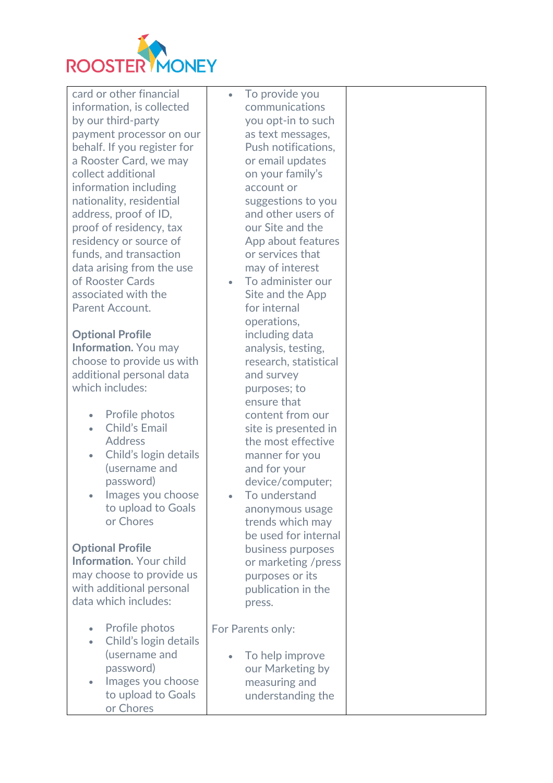

card or other financial information, is collected by our third-party payment processor on our behalf. If you register for a Rooster Card, we may collect additional information including nationality, residential address, proof of ID, proof of residency, tax residency or source of funds, and transaction data arising from the use of Rooster Cards associated with the Parent Account.

**Optional Profile Information.** You may choose to provide us with additional personal data which includes:

- Profile photos
- Child's Email Address
- Child's login details (username and password)
- Images you choose to upload to Goals or Chores

**Optional Profile Information.** Your child may choose to provide us with additional personal data which includes:

- Profile photos • Child's login details (username and password)
- Images you choose to upload to Goals or Chores

To provide you communications you opt-in to such as text messages, Push notifications, or email updates on your family's account or suggestions to you and other users of our Site and the App about features or services that may of interest

- To administer our Site and the App for internal operations, including data analysis, testing, research, statistical and survey purposes; to ensure that content from our site is presented in the most effective manner for you and for your device/computer;
- To understand anonymous usage trends which may be used for internal business purposes or marketing /press purposes or its publication in the press.

For Parents only:

• To help improve our Marketing by measuring and understanding the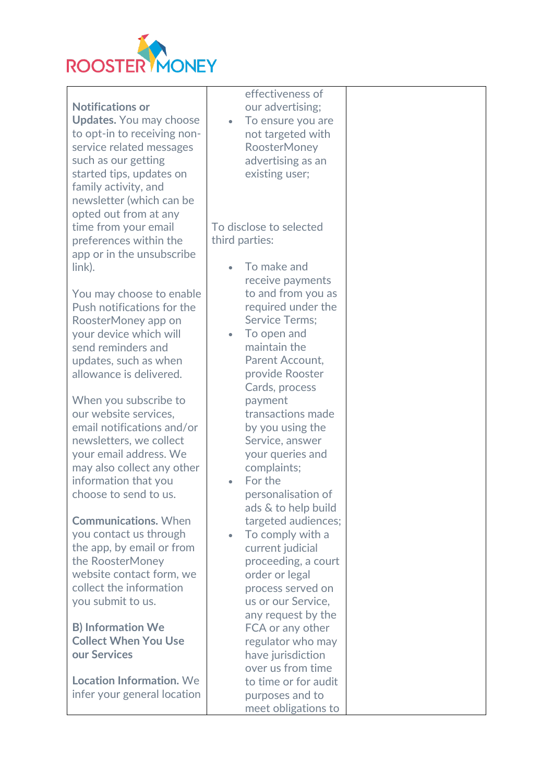

|                                 | effectiveness of               |  |
|---------------------------------|--------------------------------|--|
| <b>Notifications or</b>         | our advertising;               |  |
| <b>Updates.</b> You may choose  | To ensure you are<br>$\bullet$ |  |
| to opt-in to receiving non-     | not targeted with              |  |
|                                 |                                |  |
| service related messages        | RoosterMoney                   |  |
| such as our getting             | advertising as an              |  |
| started tips, updates on        | existing user;                 |  |
| family activity, and            |                                |  |
| newsletter (which can be        |                                |  |
| opted out from at any           |                                |  |
| time from your email            | To disclose to selected        |  |
| preferences within the          | third parties:                 |  |
| app or in the unsubscribe       |                                |  |
| link).                          | To make and                    |  |
|                                 |                                |  |
|                                 | receive payments               |  |
| You may choose to enable        | to and from you as             |  |
| Push notifications for the      | required under the             |  |
| RoosterMoney app on             | <b>Service Terms:</b>          |  |
| your device which will          | To open and<br>$\bullet$       |  |
| send reminders and              | maintain the                   |  |
| updates, such as when           | Parent Account,                |  |
| allowance is delivered.         | provide Rooster                |  |
|                                 | Cards, process                 |  |
| When you subscribe to           | payment                        |  |
| our website services,           | transactions made              |  |
| email notifications and/or      | by you using the               |  |
| newsletters, we collect         | Service, answer                |  |
| your email address. We          | your queries and               |  |
|                                 |                                |  |
| may also collect any other      | complaints;                    |  |
| information that you            | For the                        |  |
| choose to send to us.           | personalisation of             |  |
|                                 | ads & to help build            |  |
| <b>Communications. When</b>     | targeted audiences;            |  |
| you contact us through          | To comply with a<br>$\bullet$  |  |
| the app, by email or from       | current judicial               |  |
| the RoosterMoney                | proceeding, a court            |  |
| website contact form, we        | order or legal                 |  |
| collect the information         | process served on              |  |
| you submit to us.               | us or our Service,             |  |
|                                 | any request by the             |  |
| <b>B) Information We</b>        |                                |  |
|                                 | FCA or any other               |  |
| <b>Collect When You Use</b>     | regulator who may              |  |
| our Services                    | have jurisdiction              |  |
|                                 | over us from time              |  |
| <b>Location Information. We</b> | to time or for audit           |  |
| infer your general location     | purposes and to                |  |
|                                 | meet obligations to            |  |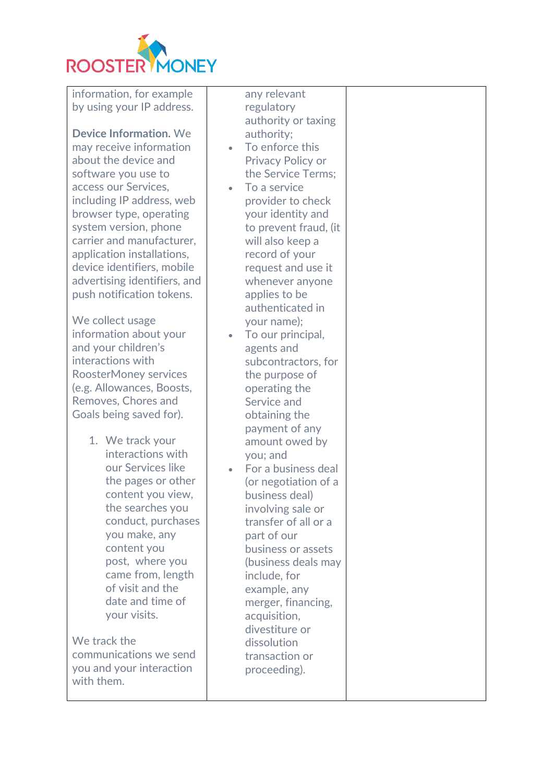

information, for example by using your IP address.

**Device Information.** We may receive information about the device and software you use to access our Services, including IP address, web browser type, operating system version, phone carrier and manufacturer, application installations, device identifiers, mobile advertising identifiers, and push notification tokens.

We collect usage information about your and your children's interactions with RoosterMoney services (e.g. Allowances, Boosts, Removes, Chores and Goals being saved for).

> 1. We track your interactions with our Services like the pages or other content you view, the searches you conduct, purchases you make, any content you post, where you came from, length of visit and the date and time of your visits.

We track the communications we send you and your interaction with them.

any relevant regulatory authority or taxing authority;

- To enforce this Privacy Policy or the Service Terms;
- To a service provider to check your identity and to prevent fraud, (it will also keep a record of your request and use it whenever anyone applies to be authenticated in your name);
- To our principal, agents and subcontractors, for the purpose of operating the Service and obtaining the payment of any amount owed by you; and
- For a business deal (or negotiation of a business deal) involving sale or transfer of all or a part of our business or assets (business deals may include, for example, any merger, financing, acquisition, divestiture or dissolution transaction or proceeding).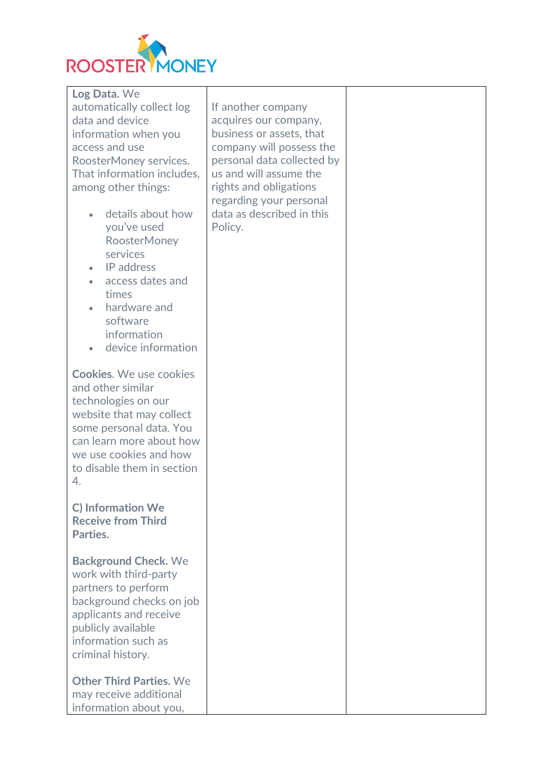

**Log Data.** We automatically collect log data and device information when you access and use RoosterMoney services. That information includes, among other things:

- details about how you've used RoosterMoney services
- IP address
- access dates and times
- hardware and software information
- device information

**Cookies**. We use cookies and other similar technologies on our website that may collect some personal data. You can learn more about how we use cookies and how to disable them in section 4.

**C) Information We Receive from Third Parties.**

**Background Check.** We work with third-party partners to perform background checks on job applicants and receive publicly available information such as criminal history.

**Other Third Parties.** We may receive additional information about you,

If another company acquires our company, business or assets, that company will possess the personal data collected by us and will assume the rights and obligations regarding your personal data as described in this Policy.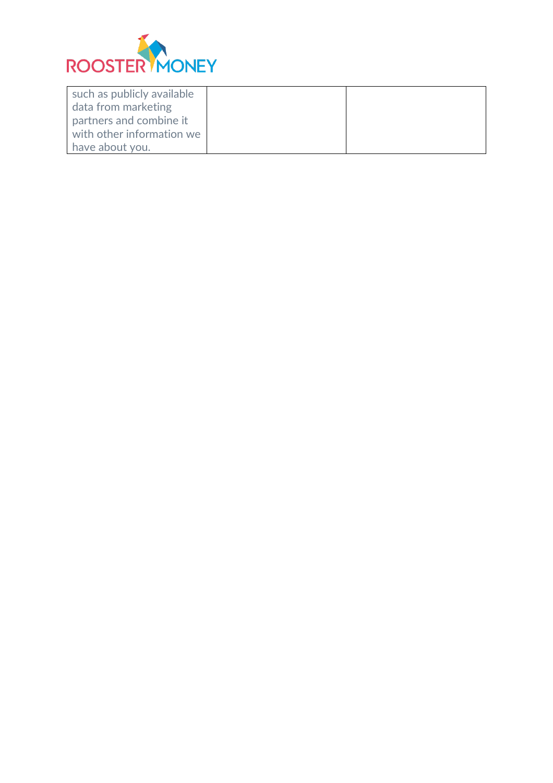

| such as publicly available |  |
|----------------------------|--|
| data from marketing        |  |
| partners and combine it    |  |
| with other information we  |  |
| have about you.            |  |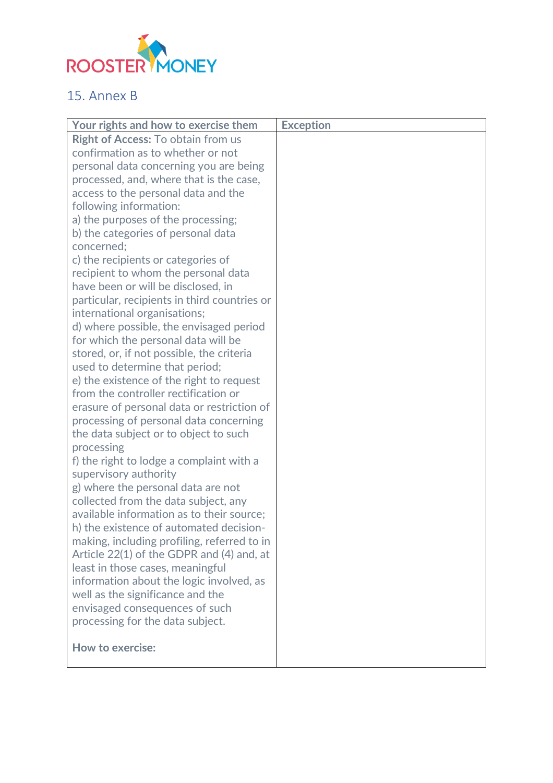

# 15. Annex B

| Your rights and how to exercise them         | <b>Exception</b> |
|----------------------------------------------|------------------|
| Right of Access: To obtain from us           |                  |
| confirmation as to whether or not            |                  |
| personal data concerning you are being       |                  |
| processed, and, where that is the case,      |                  |
| access to the personal data and the          |                  |
| following information:                       |                  |
| a) the purposes of the processing;           |                  |
| b) the categories of personal data           |                  |
| concerned:                                   |                  |
| c) the recipients or categories of           |                  |
| recipient to whom the personal data          |                  |
| have been or will be disclosed, in           |                  |
| particular, recipients in third countries or |                  |
| international organisations;                 |                  |
| d) where possible, the envisaged period      |                  |
| for which the personal data will be          |                  |
| stored, or, if not possible, the criteria    |                  |
| used to determine that period;               |                  |
| e) the existence of the right to request     |                  |
| from the controller rectification or         |                  |
| erasure of personal data or restriction of   |                  |
| processing of personal data concerning       |                  |
| the data subject or to object to such        |                  |
| processing                                   |                  |
| f) the right to lodge a complaint with a     |                  |
| supervisory authority                        |                  |
| g) where the personal data are not           |                  |
| collected from the data subject, any         |                  |
| available information as to their source;    |                  |
| h) the existence of automated decision-      |                  |
| making, including profiling, referred to in  |                  |
| Article 22(1) of the GDPR and (4) and, at    |                  |
| least in those cases, meaningful             |                  |
| information about the logic involved, as     |                  |
| well as the significance and the             |                  |
| envisaged consequences of such               |                  |
| processing for the data subject.             |                  |
|                                              |                  |
| <b>How to exercise:</b>                      |                  |
|                                              |                  |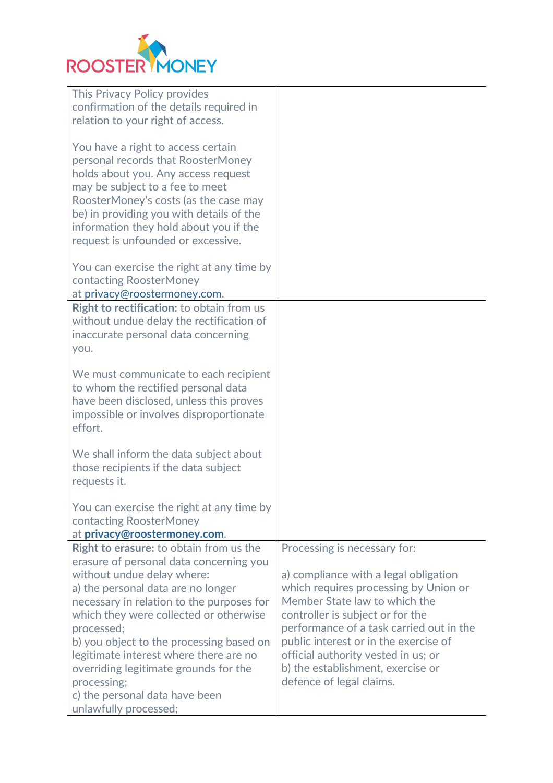

| This Privacy Policy provides                   |                                          |
|------------------------------------------------|------------------------------------------|
| confirmation of the details required in        |                                          |
| relation to your right of access.              |                                          |
|                                                |                                          |
| You have a right to access certain             |                                          |
| personal records that RoosterMoney             |                                          |
|                                                |                                          |
| holds about you. Any access request            |                                          |
| may be subject to a fee to meet                |                                          |
| RoosterMoney's costs (as the case may          |                                          |
| be) in providing you with details of the       |                                          |
| information they hold about you if the         |                                          |
| request is unfounded or excessive.             |                                          |
|                                                |                                          |
|                                                |                                          |
| You can exercise the right at any time by      |                                          |
| contacting RoosterMoney                        |                                          |
| at privacy@roostermoney.com.                   |                                          |
| Right to rectification: to obtain from us      |                                          |
| without undue delay the rectification of       |                                          |
| inaccurate personal data concerning            |                                          |
| you.                                           |                                          |
|                                                |                                          |
| We must communicate to each recipient          |                                          |
|                                                |                                          |
| to whom the rectified personal data            |                                          |
| have been disclosed, unless this proves        |                                          |
| impossible or involves disproportionate        |                                          |
| effort.                                        |                                          |
|                                                |                                          |
| We shall inform the data subject about         |                                          |
| those recipients if the data subject           |                                          |
| requests it.                                   |                                          |
|                                                |                                          |
|                                                |                                          |
| You can exercise the right at any time by      |                                          |
| contacting RoosterMoney                        |                                          |
| at privacy@roostermoney.com.                   |                                          |
| <b>Right to erasure:</b> to obtain from us the | Processing is necessary for:             |
| erasure of personal data concerning you        |                                          |
| without undue delay where:                     | a) compliance with a legal obligation    |
| a) the personal data are no longer             | which requires processing by Union or    |
| necessary in relation to the purposes for      | Member State law to which the            |
|                                                |                                          |
| which they were collected or otherwise         | controller is subject or for the         |
| processed;                                     | performance of a task carried out in the |
| b) you object to the processing based on       | public interest or in the exercise of    |
| legitimate interest where there are no         | official authority vested in us; or      |
| overriding legitimate grounds for the          | b) the establishment, exercise or        |
| processing;                                    | defence of legal claims.                 |
| c) the personal data have been                 |                                          |
|                                                |                                          |
| unlawfully processed;                          |                                          |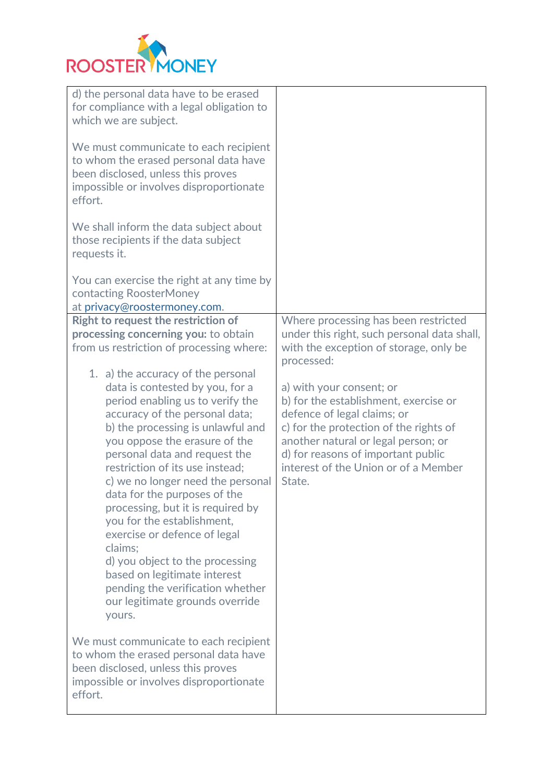

| d) the personal data have to be erased<br>for compliance with a legal obligation to                                                                                        |                                             |
|----------------------------------------------------------------------------------------------------------------------------------------------------------------------------|---------------------------------------------|
| which we are subject.                                                                                                                                                      |                                             |
| We must communicate to each recipient<br>to whom the erased personal data have<br>been disclosed, unless this proves<br>impossible or involves disproportionate<br>effort. |                                             |
| We shall inform the data subject about<br>those recipients if the data subject<br>requests it.                                                                             |                                             |
| You can exercise the right at any time by<br>contacting RoosterMoney<br>at privacy@roostermoney.com.                                                                       |                                             |
| <b>Right to request the restriction of</b>                                                                                                                                 | Where processing has been restricted        |
| processing concerning you: to obtain                                                                                                                                       | under this right, such personal data shall, |
| from us restriction of processing where:                                                                                                                                   | with the exception of storage, only be      |
|                                                                                                                                                                            | processed:                                  |
| 1. a) the accuracy of the personal                                                                                                                                         |                                             |
| data is contested by you, for a                                                                                                                                            | a) with your consent; or                    |
| period enabling us to verify the                                                                                                                                           | b) for the establishment, exercise or       |
| accuracy of the personal data;                                                                                                                                             | defence of legal claims; or                 |
| b) the processing is unlawful and                                                                                                                                          | c) for the protection of the rights of      |
| you oppose the erasure of the                                                                                                                                              | another natural or legal person; or         |
| personal data and request the                                                                                                                                              | d) for reasons of important public          |
| restriction of its use instead;                                                                                                                                            | interest of the Union or of a Member        |
| c) we no longer need the personal<br>data for the purposes of the                                                                                                          | State.                                      |
| processing, but it is required by                                                                                                                                          |                                             |
| you for the establishment,                                                                                                                                                 |                                             |
| exercise or defence of legal                                                                                                                                               |                                             |
| claims;                                                                                                                                                                    |                                             |
| d) you object to the processing                                                                                                                                            |                                             |
| based on legitimate interest                                                                                                                                               |                                             |
| pending the verification whether                                                                                                                                           |                                             |
| our legitimate grounds override                                                                                                                                            |                                             |
| yours.                                                                                                                                                                     |                                             |
| We must communicate to each recipient                                                                                                                                      |                                             |
| to whom the erased personal data have                                                                                                                                      |                                             |
| been disclosed, unless this proves                                                                                                                                         |                                             |
| impossible or involves disproportionate                                                                                                                                    |                                             |
| effort.                                                                                                                                                                    |                                             |
|                                                                                                                                                                            |                                             |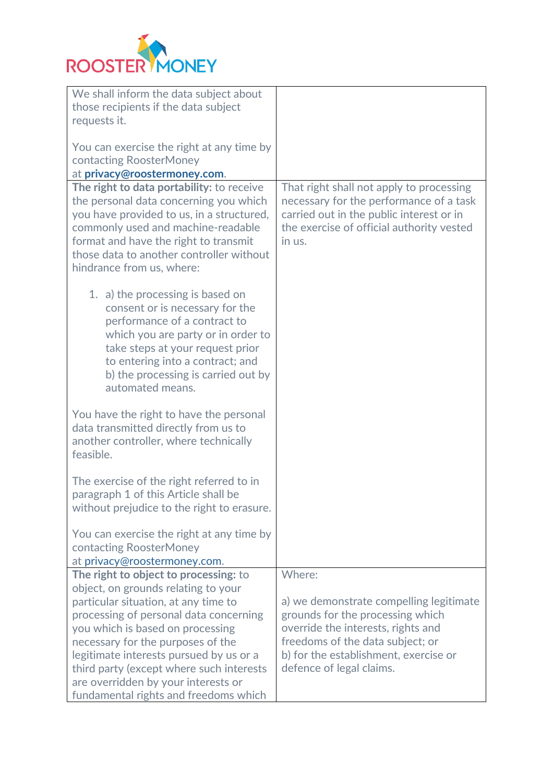

| We shall inform the data subject about<br>those recipients if the data subject<br>requests it.                                                                                                                                                                                                                                                                                                                 |                                                                                                                                                                                                                                      |
|----------------------------------------------------------------------------------------------------------------------------------------------------------------------------------------------------------------------------------------------------------------------------------------------------------------------------------------------------------------------------------------------------------------|--------------------------------------------------------------------------------------------------------------------------------------------------------------------------------------------------------------------------------------|
| You can exercise the right at any time by<br>contacting RoosterMoney<br>at privacy@roostermoney.com.                                                                                                                                                                                                                                                                                                           |                                                                                                                                                                                                                                      |
|                                                                                                                                                                                                                                                                                                                                                                                                                | That right shall not apply to processing                                                                                                                                                                                             |
| The right to data portability: to receive<br>the personal data concerning you which<br>you have provided to us, in a structured,<br>commonly used and machine-readable<br>format and have the right to transmit<br>those data to another controller without<br>hindrance from us, where:                                                                                                                       | necessary for the performance of a task<br>carried out in the public interest or in<br>the exercise of official authority vested<br>in us.                                                                                           |
| 1. a) the processing is based on<br>consent or is necessary for the<br>performance of a contract to<br>which you are party or in order to<br>take steps at your request prior<br>to entering into a contract; and<br>b) the processing is carried out by<br>automated means.                                                                                                                                   |                                                                                                                                                                                                                                      |
| You have the right to have the personal<br>data transmitted directly from us to<br>another controller, where technically<br>feasible.                                                                                                                                                                                                                                                                          |                                                                                                                                                                                                                                      |
| The exercise of the right referred to in<br>paragraph 1 of this Article shall be<br>without prejudice to the right to erasure.                                                                                                                                                                                                                                                                                 |                                                                                                                                                                                                                                      |
| You can exercise the right at any time by<br>contacting RoosterMoney<br>at privacy@roostermoney.com.                                                                                                                                                                                                                                                                                                           |                                                                                                                                                                                                                                      |
| The right to object to processing: to<br>object, on grounds relating to your<br>particular situation, at any time to<br>processing of personal data concerning<br>you which is based on processing<br>necessary for the purposes of the<br>legitimate interests pursued by us or a<br>third party (except where such interests<br>are overridden by your interests or<br>fundamental rights and freedoms which | Where:<br>a) we demonstrate compelling legitimate<br>grounds for the processing which<br>override the interests, rights and<br>freedoms of the data subject; or<br>b) for the establishment, exercise or<br>defence of legal claims. |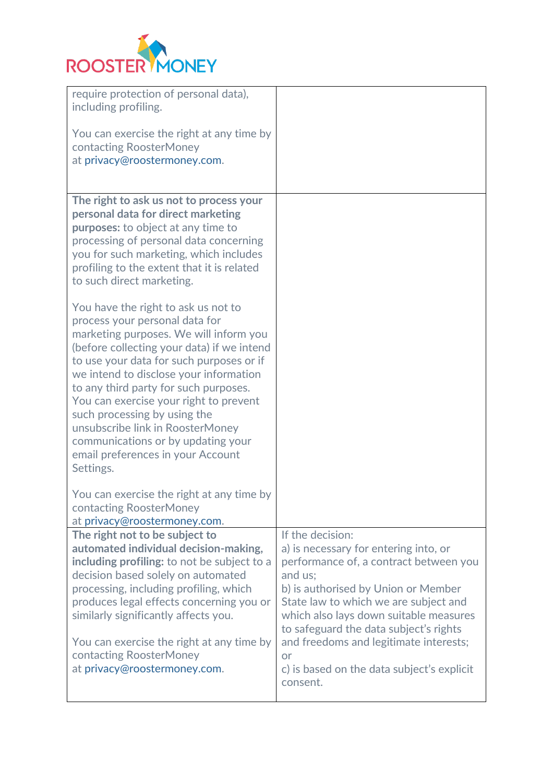

| require protection of personal data),<br>including profiling.                                                                                                                                                                                                                                                                                                                                                                                                                                      |                                                                                                                                                                                                                                                                                                                                                                                              |
|----------------------------------------------------------------------------------------------------------------------------------------------------------------------------------------------------------------------------------------------------------------------------------------------------------------------------------------------------------------------------------------------------------------------------------------------------------------------------------------------------|----------------------------------------------------------------------------------------------------------------------------------------------------------------------------------------------------------------------------------------------------------------------------------------------------------------------------------------------------------------------------------------------|
| You can exercise the right at any time by<br>contacting RoosterMoney<br>at privacy@roostermoney.com.                                                                                                                                                                                                                                                                                                                                                                                               |                                                                                                                                                                                                                                                                                                                                                                                              |
| The right to ask us not to process your<br>personal data for direct marketing<br><b>purposes:</b> to object at any time to<br>processing of personal data concerning<br>you for such marketing, which includes<br>profiling to the extent that it is related<br>to such direct marketing.                                                                                                                                                                                                          |                                                                                                                                                                                                                                                                                                                                                                                              |
| You have the right to ask us not to<br>process your personal data for<br>marketing purposes. We will inform you<br>(before collecting your data) if we intend<br>to use your data for such purposes or if<br>we intend to disclose your information<br>to any third party for such purposes.<br>You can exercise your right to prevent<br>such processing by using the<br>unsubscribe link in RoosterMoney<br>communications or by updating your<br>email preferences in your Account<br>Settings. |                                                                                                                                                                                                                                                                                                                                                                                              |
| You can exercise the right at any time by<br>contacting RoosterMoney<br>at privacy@roostermoney.com.                                                                                                                                                                                                                                                                                                                                                                                               |                                                                                                                                                                                                                                                                                                                                                                                              |
| The right not to be subject to<br>automated individual decision-making,<br>including profiling: to not be subject to a<br>decision based solely on automated<br>processing, including profiling, which<br>produces legal effects concerning you or<br>similarly significantly affects you.<br>You can exercise the right at any time by<br>contacting RoosterMoney<br>at privacy@roostermoney.com.                                                                                                 | If the decision:<br>a) is necessary for entering into, or<br>performance of, a contract between you<br>and us;<br>b) is authorised by Union or Member<br>State law to which we are subject and<br>which also lays down suitable measures<br>to safeguard the data subject's rights<br>and freedoms and legitimate interests;<br>or<br>c) is based on the data subject's explicit<br>consent. |